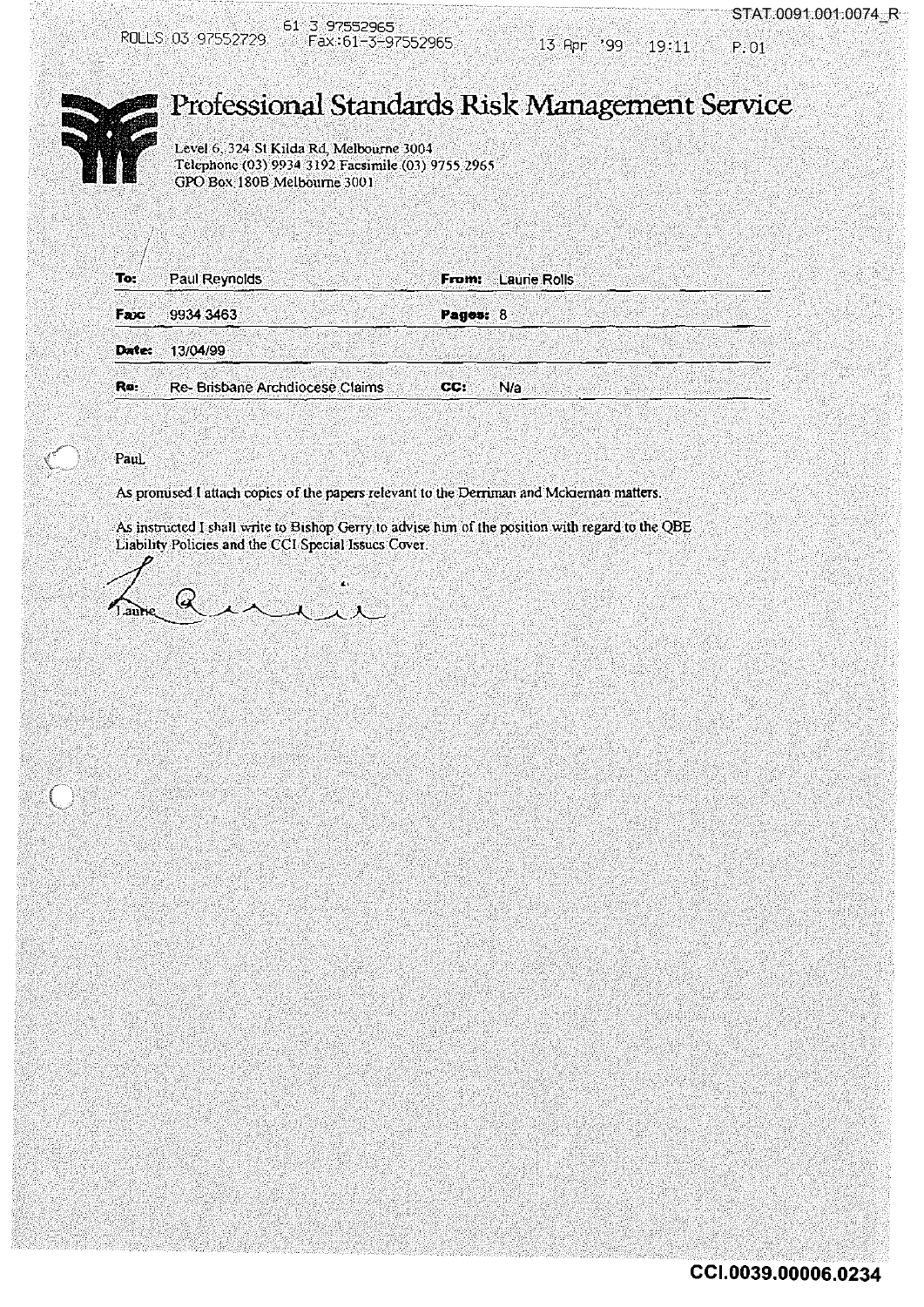

 $13$  Apr  $'99$   $19:11$  P.01



## . . . **Professiorial Standards Risl< Management Service**

Level 6, 324 St Kilda Rd, Melbourne 3004 Telephone (03) 9934 3192 Facsimile(03) 9755:2965 GPO Box.1808 Melbourne 300 I

| To:          | Paul Reynolds |                                | From:      | <b>Laurie Rolls</b> |  |
|--------------|---------------|--------------------------------|------------|---------------------|--|
|              |               |                                |            |                     |  |
|              |               |                                |            |                     |  |
|              |               |                                |            |                     |  |
| Fax          | 9934 3463     |                                | Pages: $8$ |                     |  |
|              |               |                                |            |                     |  |
|              |               |                                |            |                     |  |
| <b>Date:</b> | 13/04/99      |                                |            |                     |  |
|              |               |                                |            |                     |  |
|              |               |                                |            |                     |  |
|              |               |                                |            |                     |  |
| Re:          |               | Re-Brisbane Archdiocese Claims | CC:        | 'N/a                |  |
|              |               |                                |            |                     |  |

## PauL

As promised I attach copies of the papers relevant to the Derrrinan and Mckiernan matters.

As instructed I shall write to Bishop Gerry to advise him of the position with regard to the QBE<br>Liability Policies and the CCI Special Issues Cover.

 $4.24.11$